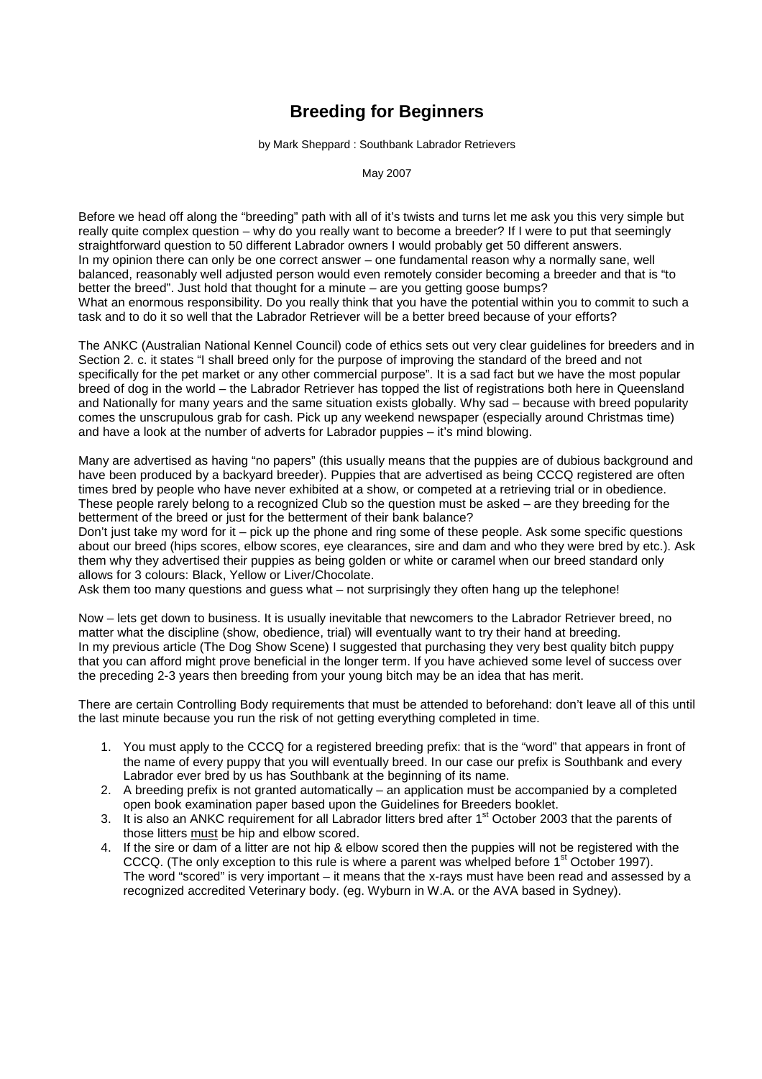## **Breeding for Beginners**

by Mark Sheppard : Southbank Labrador Retrievers

May 2007

Before we head off along the "breeding" path with all of it's twists and turns let me ask you this very simple but really quite complex question – why do you really want to become a breeder? If I were to put that seemingly straightforward question to 50 different Labrador owners I would probably get 50 different answers. In my opinion there can only be one correct answer – one fundamental reason why a normally sane, well balanced, reasonably well adjusted person would even remotely consider becoming a breeder and that is "to better the breed". Just hold that thought for a minute – are you getting goose bumps? What an enormous responsibility. Do you really think that you have the potential within you to commit to such a task and to do it so well that the Labrador Retriever will be a better breed because of your efforts?

The ANKC (Australian National Kennel Council) code of ethics sets out very clear guidelines for breeders and in Section 2. c. it states "I shall breed only for the purpose of improving the standard of the breed and not specifically for the pet market or any other commercial purpose". It is a sad fact but we have the most popular breed of dog in the world – the Labrador Retriever has topped the list of registrations both here in Queensland and Nationally for many years and the same situation exists globally. Why sad – because with breed popularity comes the unscrupulous grab for cash. Pick up any weekend newspaper (especially around Christmas time) and have a look at the number of adverts for Labrador puppies – it's mind blowing.

Many are advertised as having "no papers" (this usually means that the puppies are of dubious background and have been produced by a backyard breeder). Puppies that are advertised as being CCCQ registered are often times bred by people who have never exhibited at a show, or competed at a retrieving trial or in obedience. These people rarely belong to a recognized Club so the question must be asked – are they breeding for the betterment of the breed or just for the betterment of their bank balance?

Don't just take my word for it – pick up the phone and ring some of these people. Ask some specific questions about our breed (hips scores, elbow scores, eye clearances, sire and dam and who they were bred by etc.). Ask them why they advertised their puppies as being golden or white or caramel when our breed standard only allows for 3 colours: Black, Yellow or Liver/Chocolate.

Ask them too many questions and guess what – not surprisingly they often hang up the telephone!

Now – lets get down to business. It is usually inevitable that newcomers to the Labrador Retriever breed, no matter what the discipline (show, obedience, trial) will eventually want to try their hand at breeding. In my previous article (The Dog Show Scene) I suggested that purchasing they very best quality bitch puppy that you can afford might prove beneficial in the longer term. If you have achieved some level of success over the preceding 2-3 years then breeding from your young bitch may be an idea that has merit.

There are certain Controlling Body requirements that must be attended to beforehand: don't leave all of this until the last minute because you run the risk of not getting everything completed in time.

- 1. You must apply to the CCCQ for a registered breeding prefix: that is the "word" that appears in front of the name of every puppy that you will eventually breed. In our case our prefix is Southbank and every Labrador ever bred by us has Southbank at the beginning of its name.
- 2. A breeding prefix is not granted automatically an application must be accompanied by a completed open book examination paper based upon the Guidelines for Breeders booklet.
- 3. It is also an ANKC requirement for all Labrador litters bred after 1<sup>st</sup> October 2003 that the parents of those litters must be hip and elbow scored.
- 4. If the sire or dam of a litter are not hip & elbow scored then the puppies will not be registered with the CCCQ. (The only exception to this rule is where a parent was whelped before 1<sup>st</sup> October 1997). The word "scored" is very important – it means that the x-rays must have been read and assessed by a recognized accredited Veterinary body. (eg. Wyburn in W.A. or the AVA based in Sydney).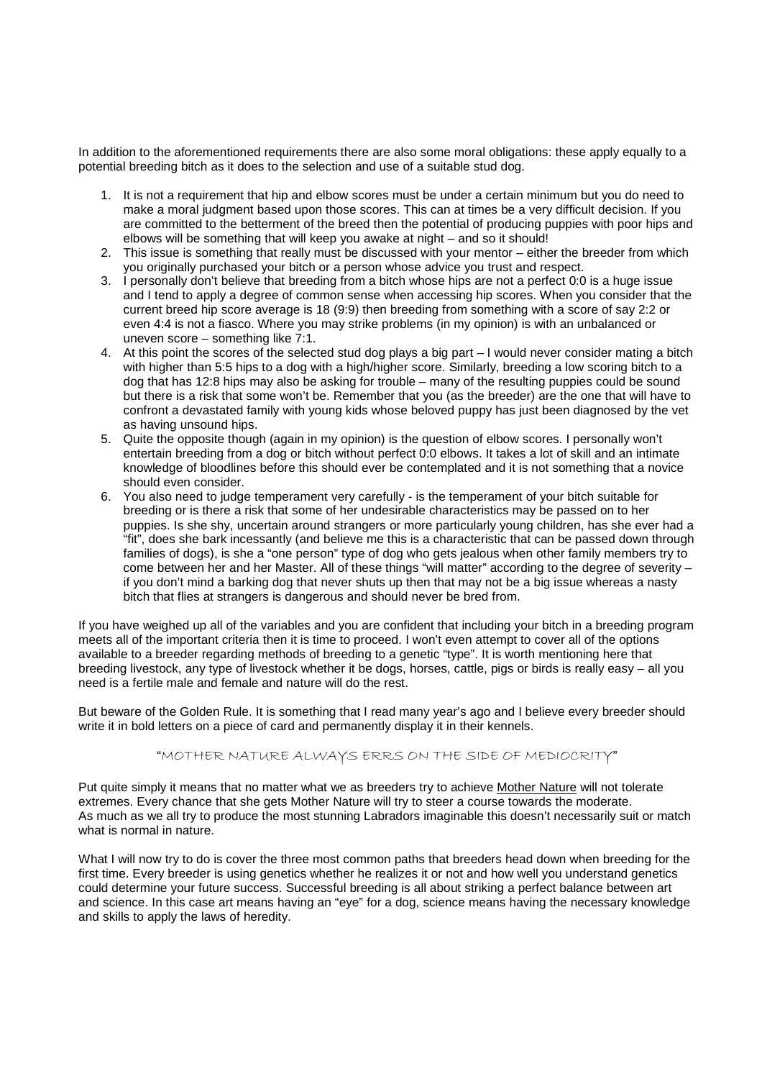In addition to the aforementioned requirements there are also some moral obligations: these apply equally to a potential breeding bitch as it does to the selection and use of a suitable stud dog.

- 1. It is not a requirement that hip and elbow scores must be under a certain minimum but you do need to make a moral judgment based upon those scores. This can at times be a very difficult decision. If you are committed to the betterment of the breed then the potential of producing puppies with poor hips and elbows will be something that will keep you awake at night – and so it should!
- 2. This issue is something that really must be discussed with your mentor either the breeder from which you originally purchased your bitch or a person whose advice you trust and respect.
- 3. I personally don't believe that breeding from a bitch whose hips are not a perfect 0:0 is a huge issue and I tend to apply a degree of common sense when accessing hip scores. When you consider that the current breed hip score average is 18 (9:9) then breeding from something with a score of say 2:2 or even 4:4 is not a fiasco. Where you may strike problems (in my opinion) is with an unbalanced or uneven score – something like 7:1.
- 4. At this point the scores of the selected stud dog plays a big part I would never consider mating a bitch with higher than 5:5 hips to a dog with a high/higher score. Similarly, breeding a low scoring bitch to a dog that has 12:8 hips may also be asking for trouble – many of the resulting puppies could be sound but there is a risk that some won't be. Remember that you (as the breeder) are the one that will have to confront a devastated family with young kids whose beloved puppy has just been diagnosed by the vet as having unsound hips.
- 5. Quite the opposite though (again in my opinion) is the question of elbow scores. I personally won't entertain breeding from a dog or bitch without perfect 0:0 elbows. It takes a lot of skill and an intimate knowledge of bloodlines before this should ever be contemplated and it is not something that a novice should even consider.
- 6. You also need to judge temperament very carefully is the temperament of your bitch suitable for breeding or is there a risk that some of her undesirable characteristics may be passed on to her puppies. Is she shy, uncertain around strangers or more particularly young children, has she ever had a "fit", does she bark incessantly (and believe me this is a characteristic that can be passed down through families of dogs), is she a "one person" type of dog who gets jealous when other family members try to come between her and her Master. All of these things "will matter" according to the degree of severity – if you don't mind a barking dog that never shuts up then that may not be a big issue whereas a nasty bitch that flies at strangers is dangerous and should never be bred from.

If you have weighed up all of the variables and you are confident that including your bitch in a breeding program meets all of the important criteria then it is time to proceed. I won't even attempt to cover all of the options available to a breeder regarding methods of breeding to a genetic "type". It is worth mentioning here that breeding livestock, any type of livestock whether it be dogs, horses, cattle, pigs or birds is really easy – all you need is a fertile male and female and nature will do the rest.

But beware of the Golden Rule. It is something that I read many year's ago and I believe every breeder should write it in bold letters on a piece of card and permanently display it in their kennels.

## "MOTHER NATURE ALWAYS ERRS ON THE SIDE OF MEDIOCRITY"

Put quite simply it means that no matter what we as breeders try to achieve Mother Nature will not tolerate extremes. Every chance that she gets Mother Nature will try to steer a course towards the moderate. As much as we all try to produce the most stunning Labradors imaginable this doesn't necessarily suit or match what is normal in nature.

What I will now try to do is cover the three most common paths that breeders head down when breeding for the first time. Every breeder is using genetics whether he realizes it or not and how well you understand genetics could determine your future success. Successful breeding is all about striking a perfect balance between art and science. In this case art means having an "eye" for a dog, science means having the necessary knowledge and skills to apply the laws of heredity.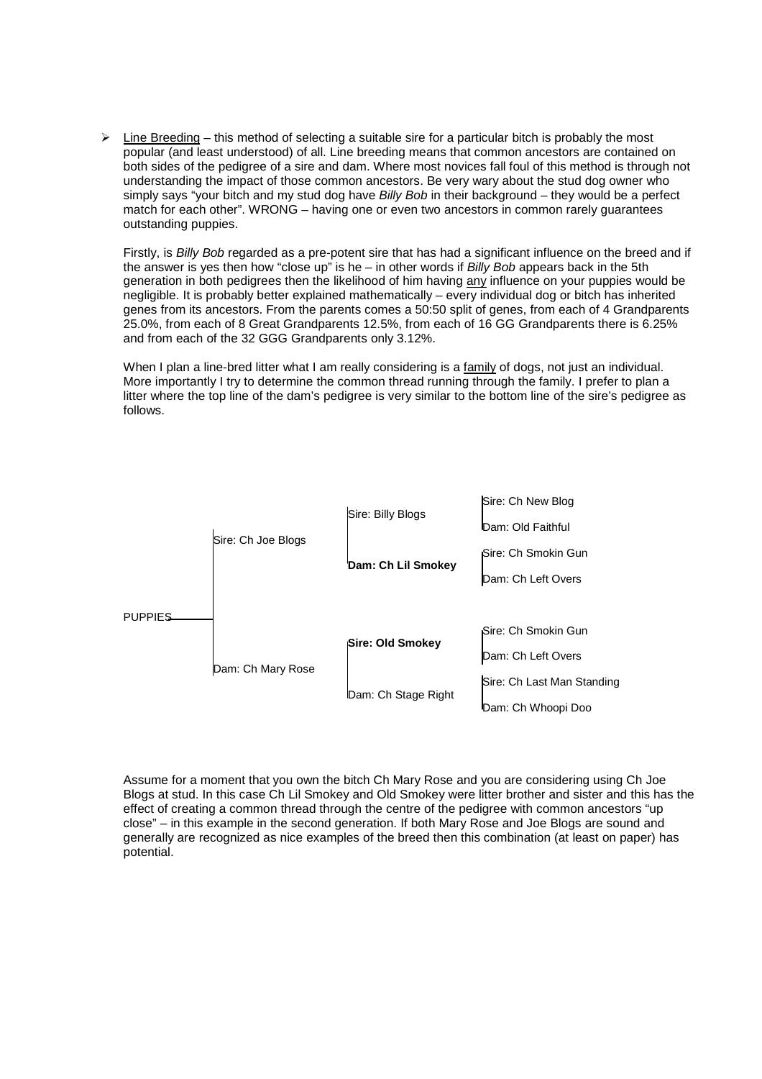$\triangleright$  Line Breeding – this method of selecting a suitable sire for a particular bitch is probably the most popular (and least understood) of all. Line breeding means that common ancestors are contained on both sides of the pedigree of a sire and dam. Where most novices fall foul of this method is through not understanding the impact of those common ancestors. Be very wary about the stud dog owner who simply says "your bitch and my stud dog have Billy Bob in their background – they would be a perfect match for each other". WRONG – having one or even two ancestors in common rarely guarantees outstanding puppies.

Firstly, is *Billy Bob* regarded as a pre-potent sire that has had a significant influence on the breed and if the answer is yes then how "close up" is he – in other words if Billy Bob appears back in the 5th generation in both pedigrees then the likelihood of him having any influence on your puppies would be negligible. It is probably better explained mathematically – every individual dog or bitch has inherited genes from its ancestors. From the parents comes a 50:50 split of genes, from each of 4 Grandparents 25.0%, from each of 8 Great Grandparents 12.5%, from each of 16 GG Grandparents there is 6.25% and from each of the 32 GGG Grandparents only 3.12%.

When I plan a line-bred litter what I am really considering is a family of dogs, not just an individual. More importantly I try to determine the common thread running through the family. I prefer to plan a litter where the top line of the dam's pedigree is very similar to the bottom line of the sire's pedigree as follows.



Assume for a moment that you own the bitch Ch Mary Rose and you are considering using Ch Joe Blogs at stud. In this case Ch Lil Smokey and Old Smokey were litter brother and sister and this has the effect of creating a common thread through the centre of the pedigree with common ancestors "up close" – in this example in the second generation. If both Mary Rose and Joe Blogs are sound and generally are recognized as nice examples of the breed then this combination (at least on paper) has potential.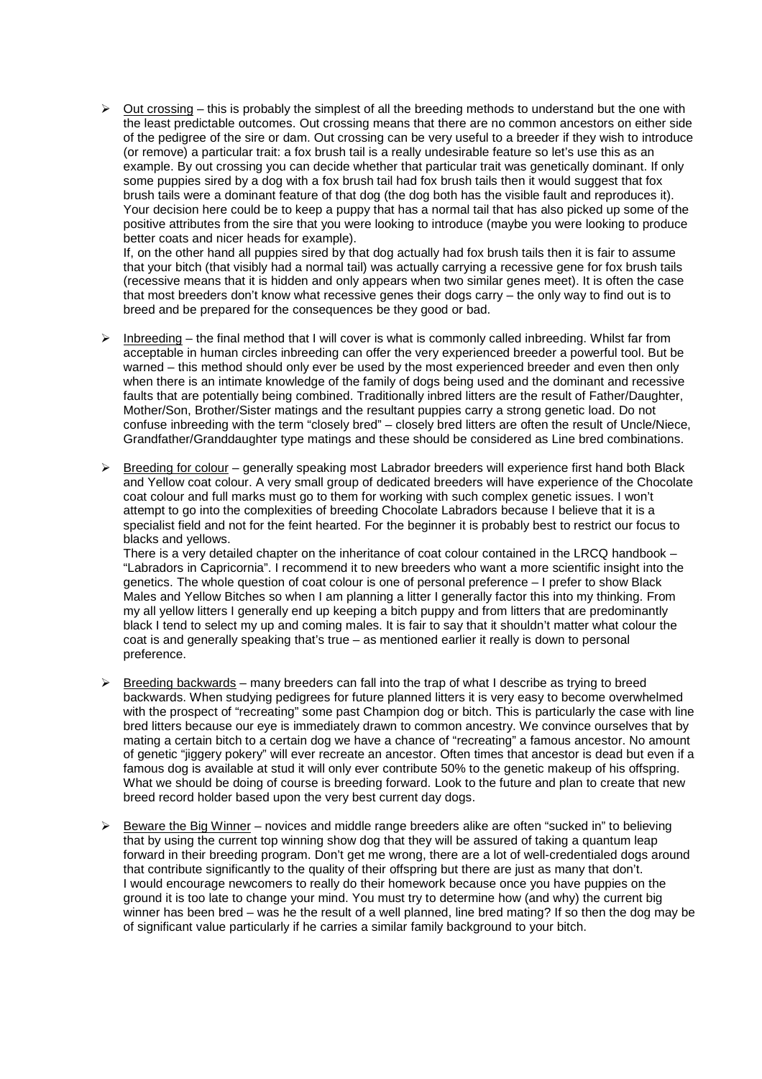$\triangleright$  Out crossing – this is probably the simplest of all the breeding methods to understand but the one with the least predictable outcomes. Out crossing means that there are no common ancestors on either side of the pedigree of the sire or dam. Out crossing can be very useful to a breeder if they wish to introduce (or remove) a particular trait: a fox brush tail is a really undesirable feature so let's use this as an example. By out crossing you can decide whether that particular trait was genetically dominant. If only some puppies sired by a dog with a fox brush tail had fox brush tails then it would suggest that fox brush tails were a dominant feature of that dog (the dog both has the visible fault and reproduces it). Your decision here could be to keep a puppy that has a normal tail that has also picked up some of the positive attributes from the sire that you were looking to introduce (maybe you were looking to produce better coats and nicer heads for example).

If, on the other hand all puppies sired by that dog actually had fox brush tails then it is fair to assume that your bitch (that visibly had a normal tail) was actually carrying a recessive gene for fox brush tails (recessive means that it is hidden and only appears when two similar genes meet). It is often the case that most breeders don't know what recessive genes their dogs carry – the only way to find out is to breed and be prepared for the consequences be they good or bad.

- $\triangleright$  Inbreeding the final method that I will cover is what is commonly called inbreeding. Whilst far from acceptable in human circles inbreeding can offer the very experienced breeder a powerful tool. But be warned – this method should only ever be used by the most experienced breeder and even then only when there is an intimate knowledge of the family of dogs being used and the dominant and recessive faults that are potentially being combined. Traditionally inbred litters are the result of Father/Daughter, Mother/Son, Brother/Sister matings and the resultant puppies carry a strong genetic load. Do not confuse inbreeding with the term "closely bred" – closely bred litters are often the result of Uncle/Niece, Grandfather/Granddaughter type matings and these should be considered as Line bred combinations.
- $\triangleright$  Breeding for colour generally speaking most Labrador breeders will experience first hand both Black and Yellow coat colour. A very small group of dedicated breeders will have experience of the Chocolate coat colour and full marks must go to them for working with such complex genetic issues. I won't attempt to go into the complexities of breeding Chocolate Labradors because I believe that it is a specialist field and not for the feint hearted. For the beginner it is probably best to restrict our focus to blacks and yellows.

There is a very detailed chapter on the inheritance of coat colour contained in the LRCQ handbook -"Labradors in Capricornia". I recommend it to new breeders who want a more scientific insight into the genetics. The whole question of coat colour is one of personal preference – I prefer to show Black Males and Yellow Bitches so when I am planning a litter I generally factor this into my thinking. From my all yellow litters I generally end up keeping a bitch puppy and from litters that are predominantly black I tend to select my up and coming males. It is fair to say that it shouldn't matter what colour the coat is and generally speaking that's true – as mentioned earlier it really is down to personal preference.

- $\triangleright$  Breeding backwards many breeders can fall into the trap of what I describe as trying to breed backwards. When studying pedigrees for future planned litters it is very easy to become overwhelmed with the prospect of "recreating" some past Champion dog or bitch. This is particularly the case with line bred litters because our eye is immediately drawn to common ancestry. We convince ourselves that by mating a certain bitch to a certain dog we have a chance of "recreating" a famous ancestor. No amount of genetic "jiggery pokery" will ever recreate an ancestor. Often times that ancestor is dead but even if a famous dog is available at stud it will only ever contribute 50% to the genetic makeup of his offspring. What we should be doing of course is breeding forward. Look to the future and plan to create that new breed record holder based upon the very best current day dogs.
- $\geq$  Beware the Big Winner novices and middle range breeders alike are often "sucked in" to believing that by using the current top winning show dog that they will be assured of taking a quantum leap forward in their breeding program. Don't get me wrong, there are a lot of well-credentialed dogs around that contribute significantly to the quality of their offspring but there are just as many that don't. I would encourage newcomers to really do their homework because once you have puppies on the ground it is too late to change your mind. You must try to determine how (and why) the current big winner has been bred – was he the result of a well planned, line bred mating? If so then the dog may be of significant value particularly if he carries a similar family background to your bitch.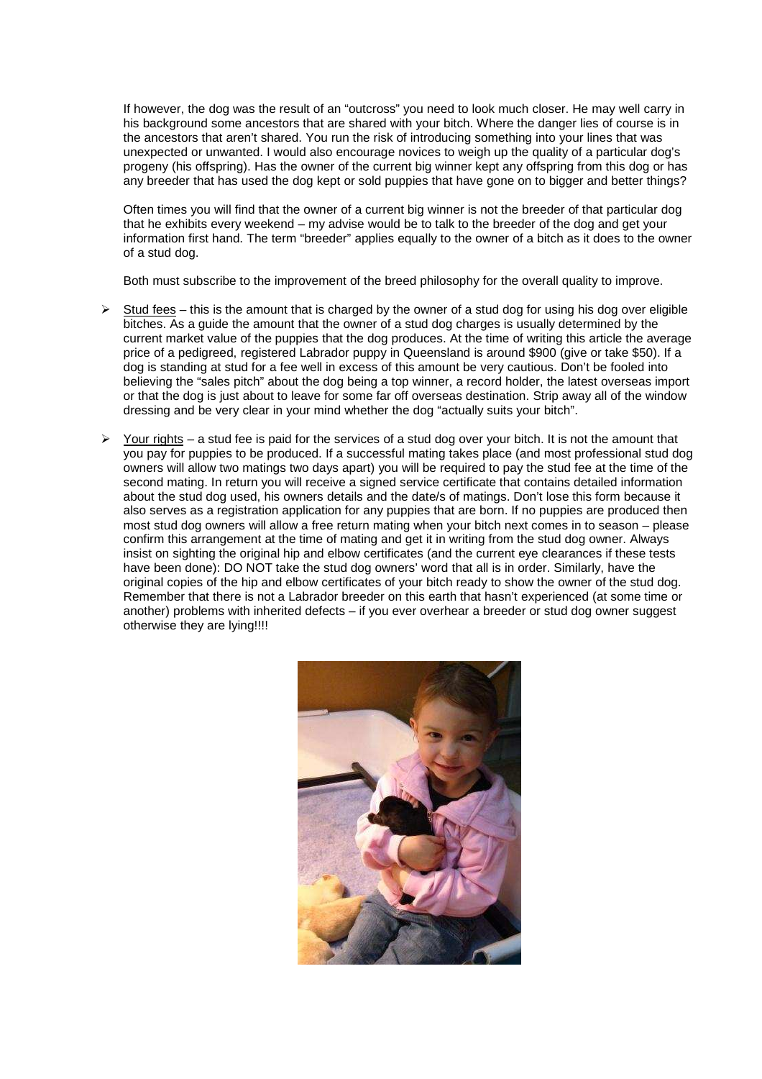If however, the dog was the result of an "outcross" you need to look much closer. He may well carry in his background some ancestors that are shared with your bitch. Where the danger lies of course is in the ancestors that aren't shared. You run the risk of introducing something into your lines that was unexpected or unwanted. I would also encourage novices to weigh up the quality of a particular dog's progeny (his offspring). Has the owner of the current big winner kept any offspring from this dog or has any breeder that has used the dog kept or sold puppies that have gone on to bigger and better things?

Often times you will find that the owner of a current big winner is not the breeder of that particular dog that he exhibits every weekend – my advise would be to talk to the breeder of the dog and get your information first hand. The term "breeder" applies equally to the owner of a bitch as it does to the owner of a stud dog.

Both must subscribe to the improvement of the breed philosophy for the overall quality to improve.

- $\triangleright$  Stud fees this is the amount that is charged by the owner of a stud dog for using his dog over eligible bitches. As a guide the amount that the owner of a stud dog charges is usually determined by the current market value of the puppies that the dog produces. At the time of writing this article the average price of a pedigreed, registered Labrador puppy in Queensland is around \$900 (give or take \$50). If a dog is standing at stud for a fee well in excess of this amount be very cautious. Don't be fooled into believing the "sales pitch" about the dog being a top winner, a record holder, the latest overseas import or that the dog is just about to leave for some far off overseas destination. Strip away all of the window dressing and be very clear in your mind whether the dog "actually suits your bitch".
- Your rights a stud fee is paid for the services of a stud dog over your bitch. It is not the amount that you pay for puppies to be produced. If a successful mating takes place (and most professional stud dog owners will allow two matings two days apart) you will be required to pay the stud fee at the time of the second mating. In return you will receive a signed service certificate that contains detailed information about the stud dog used, his owners details and the date/s of matings. Don't lose this form because it also serves as a registration application for any puppies that are born. If no puppies are produced then most stud dog owners will allow a free return mating when your bitch next comes in to season – please confirm this arrangement at the time of mating and get it in writing from the stud dog owner. Always insist on sighting the original hip and elbow certificates (and the current eye clearances if these tests have been done): DO NOT take the stud dog owners' word that all is in order. Similarly, have the original copies of the hip and elbow certificates of your bitch ready to show the owner of the stud dog. Remember that there is not a Labrador breeder on this earth that hasn't experienced (at some time or another) problems with inherited defects – if you ever overhear a breeder or stud dog owner suggest otherwise they are lying!!!!